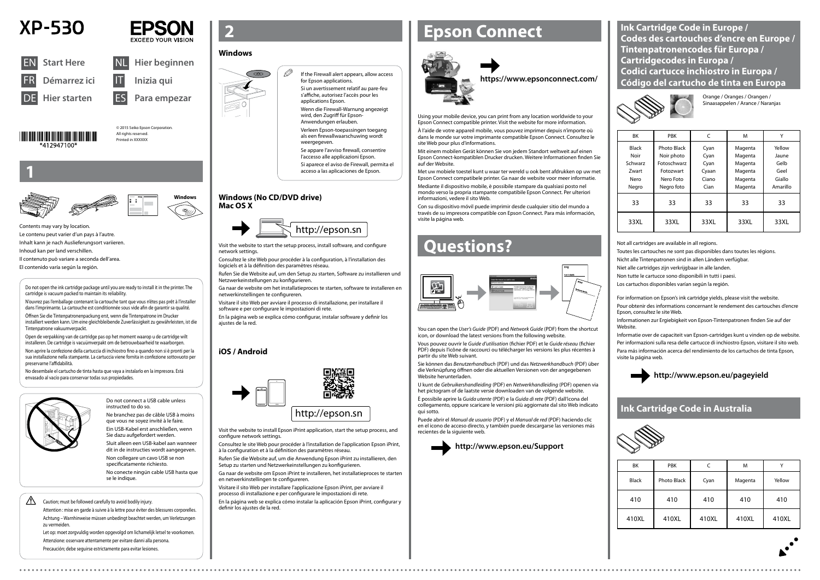© 2015 Seiko Epson Corporation. All rights reserved Printed in XXXXXX







**Windows**







Do not connect a USB cable unless instructed to do so. Ne branchez pas de câble USB à moins

que vous ne soyez invité à le faire. Ein USB-Kabel erst anschließen, wenn





Sie dazu aufgefordert werden. Sluit alleen een USB-kabel aan wanneer dit in de instructies wordt aangegeven. Non collegare un cavo USB se non specificatamente richiesto.

 $\mathscr{D}$  If the Firewall alert appears, allow access for Epson applications. Si un avertissement relatif au pare-feu

No conecte ningún cable USB hasta que se le indique.

**1**

Contents may vary by location. Le contenu peut varier d'un pays à l'autre. Inhalt kann je nach Auslieferungsort variieren. Inhoud kan per land verschillen.

Il contenuto può variare a seconda dell'area.

El contenido varía según la región.

s'affiche, autorisez l'accès pour les applications Epson.

Wenn die Firewall-Warnung angezeigt wird, den Zugriff für Epson-Anwendungen erlauben. Verleen Epson-toepassingen toegang

als een firewallwaarschuwing wordt weergegeven Se appare l'avviso firewall, consentire

l'accesso alle applicazioni Epson. Si aparece el aviso de Firewall, permita el

acceso a las aplicaciones de Epson.

Visit the website to start the setup process, install software, and configure network settings.

Consultez le site Web pour procéder à la configuration, à l'installation des logiciels et à la définition des paramètres réseau.

Rufen Sie die Website auf, um den Setup zu starten, Software zu installieren und Netzwerkeinstellungen zu konfigurieren.

Ga naar de website om het installatieproces te starten, software te installeren en netwerkinstellingen te configureren.

Visitare il sito Web per avviare il processo di installazione, per installare il software e per configurare le impostazioni di rete.

En la página web se explica cómo configurar, instalar software y definir los ajustes de la red.

# **Epson Connect**



Using your mobile device, you can print from any location worldwide to your Epson Connect compatible printer. Visit the website for more information.

À l'aide de votre appareil mobile, vous pouvez imprimer depuis n'importe où dans le monde sur votre imprimante compatible Epson Connect. Consultez le site Web pour plus d'informations.

Mit einem mobilen Gerät können Sie von jedem Standort weltweit auf einen Epson Connect-kompatiblen Drucker drucken. Weitere Informationen finden Sie auf der Website.

Met uw mobiele toestel kunt u waar ter wereld u ook bent afdrukken op uw met Epson Connect compatibele printer. Ga naar de website voor meer informatie.

Mediante il dispositivo mobile, è possibile stampare da qualsiasi posto nel mondo verso la propria stampante compatibile Epson Connect. Per ulteriori informazioni, vedere il sito Web.

Con su dispositivo móvil puede imprimir desde cualquier sitio del mundo a través de su impresora compatible con Epson Connect. Para más información, visite la página web.

### **https://www.epsonconnect.com/**

# **Questions?**



You can open the *User's Guide* (PDF) and *Network Guide* (PDF) from the shortcut icon, or download the latest versions from the following website.

Vous pouvez ouvrir le *Guide d'utilisation* (fichier PDF) et le *Guide réseau* (fichier PDF) depuis l'icône de raccourci ou télécharger les versions les plus récentes à partir du site Web suivant.

 $\bigwedge$  Caution; must be followed carefully to avoid bodily injury. definir los ajustes de la red.

Sie können das *Benutzerhandbuch* (PDF) und das *Netzwerkhandbuch* (PDF) über die Verknüpfung öffnen oder die aktuellen Versionen von der angegebenen Website herunterladen.

U kunt de *Gebruikershandleiding* (PDF) en *Netwerkhandleiding* (PDF) openen via het pictogram of de laatste versie downloaden van de volgende website.

È possibile aprire la *Guida utente* (PDF) e la *Guida di rete* (PDF) dall'icona del collegamento, oppure scaricare le versioni più aggiornate dal sito Web indicato qui sotto.

Informationen zur Ergiebigkeit von Epson-Tintenpatronen finden Sie auf der Website

Puede abrir el *Manual de usuario* (PDF) y el *Manual de red* (PDF) haciendo clic en el icono de acceso directo, y también puede descargarse las versiones más recientes de la siguiente web.



**http://www.epson.eu/Support**

| <b>BK</b>    | <b>PBK</b>         | C     | M       | v        |
|--------------|--------------------|-------|---------|----------|
| <b>Black</b> | <b>Photo Black</b> | Cyan  | Magenta | Yellow   |
| Noir         | Noir photo         | Cyan  | Magenta | Jaune    |
| Schwarz      | Fotoschwarz        | Cyan  | Magenta | Gelb     |
| Zwart        | Fotozwart          | Cyaan | Magenta | Geel     |
| Nero         | Nero Foto          | Ciano | Magenta | Giallo   |
| Negro        | Negro foto         | Cian  | Magenta | Amarillo |
| 33           | 33                 | 33    | 33      | 33       |
| 33XL         | 33XL               | 33XL  | 33XL    | 33XL     |

Orange / Oranges / Orangen / Sinaasappelen / Arance / Naranjas

Not all cartridges are available in all regions.

Toutes les cartouches ne sont pas disponibles dans toutes les régions.

Nicht alle Tintenpatronen sind in allen Ländern verfügbar.

Niet alle cartridges zijn verkrijgbaar in alle landen.

Non tutte le cartucce sono disponibili in tutti i paesi.

Los cartuchos disponibles varían según la región.

# **http://www.epson.eu/pageyield**

**Ink Cartridge Code in Europe / Codes des cartouches d'encre en Europe / Tintenpatronencodes für Europa / Cartridgecodes in Europa / Codici cartucce inchiostro in Europa / Código del cartucho de tinta en Europa**



Do not open the ink cartridge package until you are ready to install it in the printer. The cartridge is vacuum packed to maintain its reliability.

N'ouvrez pas l'emballage contenant la cartouche tant que vous n'êtes pas prêt à l'installer dans l'imprimante. La cartouche est conditionnée sous vide afin de garantir sa qualité.

Öffnen Sie die Tintenpatronenpackung erst, wenn die Tintenpatrone im Drucker installiert werden kann. Um eine gleichbleibende Zuverlässigkeit zu gewährleisten, ist die Tintenpatrone vakuumverpackt.

Open de verpakking van de cartridge pas op het moment waarop u de cartridge wilt installeren. De cartridge is vacuümverpakt om de betrouwbaarheid te waarborgen.

Non aprire la confezione della cartuccia di inchiostro fino a quando non si è pronti per la sua installazione nella stampante. La cartuccia viene fornita in confezione sottovuoto per preservarne l'affidabilità.

No desembale el cartucho de tinta hasta que vaya a instalarlo en la impresora. Está envasado al vacío para conservar todas sus propiedades.



### **Windows**



### **Windows (No CD/DVD drive) Mac OS X**

### **iOS / Android**

Visit the website to install Epson iPrint application, start the setup process, and configure network settings.

Consultez le site Web pour procéder à l'installation de l'application Epson iPrint, à la configuration et à la définition des paramètres réseau.

Rufen Sie die Website auf, um die Anwendung Epson iPrint zu installieren, den Setup zu starten und Netzwerkeinstellungen zu konfigurieren.

Ga naar de website om Epson iPrint te installeren, het installatieproces te starten en netwerkinstellingen te configureren.

Visitare il sito Web per installare l'applicazione Epson iPrint, per avviare il processo di installazione e per configurare le impostazioni di rete.

Caution; must be followed carefully to avoid bodily injury.

Attention : mise en garde à suivre à la lettre pour éviter des blessures corporelles. Achtung – Warnhinweise müssen unbedingt beachtet werden, um Verletzungen zu vermeiden.

Let op: moet zorgvuldig worden opgevolgd om lichamelijk letsel te voorkomen. Attenzione: osservare attentamente per evitare danni alla persona. Precaución; debe seguirse estrictamente para evitar lesiones.

| BK           | <b>PBK</b>         |       | M       |        |
|--------------|--------------------|-------|---------|--------|
| <b>Black</b> | <b>Photo Black</b> | Cyan  | Magenta | Yellow |
| 410          | 410                | 410   | 410     | 410    |
| 410XL        | 410XL              | 410XL | 410XL   | 410XL  |

## **Ink Cartridge Code in Australia**



For information on Epson's ink cartridge yields, please visit the website.

Pour obtenir des informations concernant le rendement des cartouches d'encre Epson, consultez le site Web.

Informatie over de capaciteit van Epson-cartridges kunt u vinden op de website. Per informazioni sulla resa delle cartucce di inchiostro Epson, visitare il sito web. Para más información acerca del rendimiento de los cartuchos de tinta Epson, visite la página web.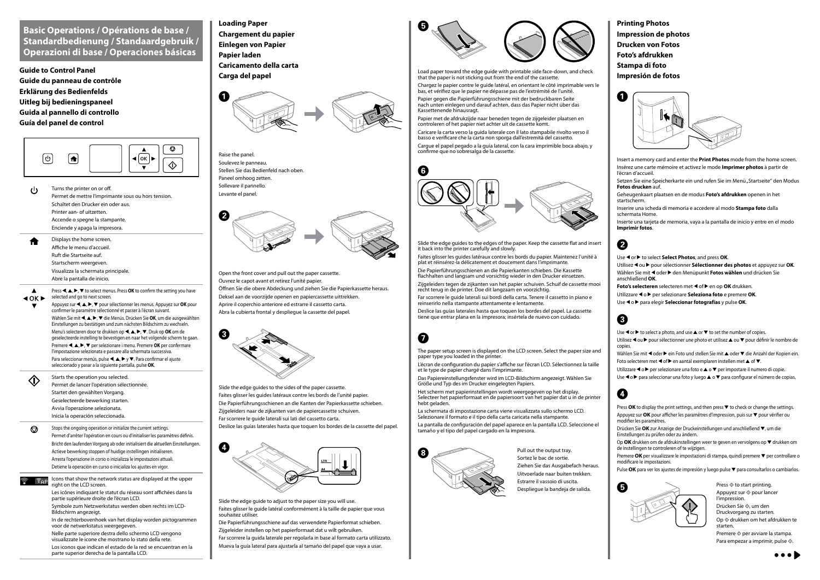## **Basic Operations / Opérations de base / Standardbedienung / Standaardgebruik / Operazioni di base / Operaciones básicas**

**Guide to Control Panel Guide du panneau de contrôle Erklärung des Bedienfelds Uitleg bij bedieningspaneel Guida al pannello di controllo Guía del panel de control**



Turns the printer on or off. (b Permet de mettre l'imprimante sous ou hors tension. Schaltet den Drucker ein oder aus. Printer aan- of uitzetten. Accende o spegne la stampante. Enciende y apaga la impresora.

Appuyez sur **< | ▲, ▶, ▼** pour sélectionner les menus. Appuyez sur OK pour confirmer le paramètre sélectionné et passer à l'écran suivant. Wählen Sie mit <, A,  $\blacktriangleright$ ,  $\blacktriangleright$  die Menüs. Drücken Sie **OK**, um die ausgewählten Einstellungen zu bestätigen und zum nächsten Bildschirm zu wechseln.

Displays the home screen. Affiche le menu d'accueil. Ruft die Startseite auf. Startscherm weergeven. Visualizza la schermata principale. Abre la pantalla de inicio.

Press  $\blacktriangle, \blacktriangle, \blacktriangleright, \blacktriangledown$  to select menus. Press **OK** to confirm the setting you have  $40K$  $\blacktriangleright$ selected and go to next screen

> Menu's selecteren door te drukken op  $\blacktriangle, \blacktriangle, \blacktriangleright, \blacktriangledown$ . Druk op **OK** om de geselecteerde instelling te bevestigen en naar het volgende scherm te gaan.

Premere  $\blacktriangle, \blacktriangle, \blacktriangleright$ ,  $\ntriangleright$  per selezionare i menu. Premere **OK** per confermare l'impostazione selezionata e passare alla schermata successiva. Para seleccionar menús, pulse  $\blacktriangle, \blacktriangle, \blacktriangleright$  y  $\blacktriangledown$ . Para confirmar el ajuste

- $\bigcirc$ Stops the ongoing operation or initialize the current settings. Permet d'arrêter l'opération en cours ou d'initialiser les paramètres définis. Bricht den laufenden Vorgang ab oder initialisiert die aktuellen Einstellungen. Actieve bewerking stoppen of huidige instellingen initialiseren. Arresta l'operazione in corso o inizializza le impostazioni attuali. Detiene la operación en curso o inicializa los ajustes en vigor.
- 

 $\Gamma_{\text{AP}}$  Icons that show the network status are displayed at the upper right on the LCD screen. Les icônes indiquant le statut du réseau sont affichées dans la

seleccionado y pasar a la siguiente pantalla, pulse **OK**.

Starts the operation you selected.  $\langle \cdot \rangle$ Permet de lancer l'opération sélectionnée. Startet den gewählten Vorgang. Geselecteerde bewerking starten. Avvia l'operazione selezionata. Inicia la operación seleccionada.

> partie supérieure droite de l'écran LCD. Symbole zum Netzwerkstatus werden oben rechts im LCD-

Bildschirm angezeigt. In de rechterbovenhoek van het display worden pictogrammen

voor de netwerkstatus weergegeven. Nelle parte superiore destra dello schermo LCD vengono visualizzate le icone che mostrano lo stato della rete. Los iconos que indican el estado de la red se encuentran en la parte superior derecha de la pantalla LCD.

**Loading Paper Chargement du papier Einlegen von Papier Papier laden Caricamento della carta Carga del papel**



Open the front cover and pull out the paper cassette. Ouvrez le capot avant et retirez l'unité papier. Öffnen Sie die obere Abdeckung und ziehen Sie die Papierkassette heraus. Deksel aan de voorzijde openen en papiercassette uittrekken. Aprire il coperchio anteriore ed estrarre il cassetto carta. Abra la cubierta frontal y despliegue la cassette del papel.



Slide the edge guides to the sides of the paper cassette. Faites glisser les guides latéraux contre les bords de l'unité papier. Die Papierführungsschienen an die Kanten der Papierkassette schieben. Zijgeleiders naar de zijkanten van de papiercassette schuiven. Far scorrere le guide laterali sui lati del cassetto carta. Deslice las guías laterales hasta que toquen los bordes de la cassette del papel.



Slide the edge guide to adjust to the paper size you will use. Faites glisser le guide latéral conformément à la taille de papier que vous souhaitez utiliser.

Die Papierführungsschiene auf das verwendete Papierformat schieben. Zijgeleider instellen op het papierformaat dat u wilt gebruiken. Far scorrere la guida laterale per regolarla in base al formato carta utilizzato. Mueva la guía lateral para ajustarla al tamaño del papel que vaya a usar.



Load paper toward the edge guide with printable side face-down, and check that the paper is not sticking out from the end of the cassette.

> Appuyez sur  $\otimes$  pour lancer l'impression.

Drücken Sie  $\otimes$ , um den

Op  $\otimes$  drukken om het afdrukken te starten.

Premere  $\otimes$  per avviare la stampa. Para empezar a imprimir, pulse  $\Diamond$ .



Chargez le papier contre le guide latéral, en orientant le côté imprimable vers le bas, et vérifiez que le papier ne dépasse pas de l'extrémité de l'unité.

Papier gegen die Papierführungsschiene mit der bedruckbaren Seite nach unten einlegen und darauf achten, dass das Papier nicht über das Kassettenende hinausragt.

La schermata di impostazione carta viene visualizzata sullo schermo LCD. Selezionare il formato e il tipo della carta caricata nella stampante

Papier met de afdrukzijde naar beneden tegen de zijgeleider plaatsen en controleren of het papier niet achter uit de cassette komt.

Caricare la carta verso la guida laterale con il lato stampabile rivolto verso il basso e verificare che la carta non sporga dall'estremità del cassetto. Cargue el papel pegado a la guía lateral, con la cara imprimible boca abajo, y confirme que no sobresalga de la cassette.



Slide the edge guides to the edges of the paper. Keep the cassette flat and insert it back into the printer carefully and slowly.

Faites glisser les guides latéraux contre les bords du papier. Maintenez l'unité à plat et réinsérez-la délicatement et doucement dans l'imprimante.

Die Papierführungsschienen an die Papierkanten schieben. Die Kassette flachhalten und langsam und vorsichtig wieder in den Drucker einsetzen. Zijgeleiders tegen de zijkanten van het papier schuiven. Schuif de cassette mooi

recht terug in de printer. Doe dit langzaam en voorzichtig.

Far scorrere le guide laterali sui bordi della carta. Tenere il cassetto in piano e reinserirlo nella stampante attentamente e lentamente.

Deslice las guías laterales hasta que toquen los bordes del papel. La cassette tiene que entrar plana en la impresora; insértela de nuevo con cuidado.

# $\boldsymbol{\Omega}$

**Printing Photos Impression de photos Drucken von Fotos Foto's afdrukken Stampa di foto Impresión de fotos**



A

# B

- Use < or  $\blacktriangleright$  to select **Select Photos**, and press **OK**.
- Utilisez ◀ ou ▶ pour sélectionner **Sélectionner des photos** et appuyez sur **OK**. Wählen Sie mit < oder ► den Menüpunkt **Fotos wählen** und drücken Sie anschließend **OK**.
- **Foto's selecteren** selecteren met < of  $\blacktriangleright$  en op **OK** drukken.
- Utilizzare **◀ o ▶** per selezionare **Seleziona foto** e premere **OK**.
- Use **◀ o ▶** para elegir **Seleccionar fotografías** y pulse **OK**.
- Insert a memory card and enter the **Print Photos** mode from the home screen.
- Insérez une carte mémoire et activez le mode **Imprimer photos** à partir de l'écran d'accueil.
- Setzen Sie eine Speicherkarte ein und rufen Sie im Menü "Startseite" den Modus **Fotos drucken** auf.
- Geheugenkaart plaatsen en de modus **Foto's afdrukken** openen in het startscherm.
- Inserire una scheda di memoria e accedere al modo **Stampa foto** dalla schermata Home.
- Inserte una tarjeta de memoria, vaya a la pantalla de inicio y entre en el modo **Imprimir fotos**.

# C

- Use  $\triangleleft$  or  $\triangleright$  to select a photo, and use  $\triangle$  or  $\triangleright$  to set the number of copies.
- Utilisez < ou ▶ pour sélectionner une photo et utilisez ▲ ou ▼ pour définir le nombre de copies.
- Wählen Sie mit < oder ▶ ein Foto und stellen Sie mit ▲ oder ▼ die Anzahl der Kopien ein. Foto selecteren met  $\blacktriangle$  of  $\blacktriangleright$  en aantal exemplaren instellen met  $\blacktriangle$  of  $\blacktriangledown$ .
- Utilizzare  $\triangleleft$  o  $\blacktriangleright$  per selezionare una foto e  $\triangle$  o  $\ntriangleright$  per impostare il numero di copie.
- Use  $\triangleleft$  o  $\triangleright$  para seleccionar una foto y luego  $\triangle$  o  $\ntriangleright$  para configurar el número de copias.

# $\boldsymbol{O}$

- Press  $OK$  to display the print settings, and then press  $\nabla$  to check or change the settings. Appuyez sur OK pour afficher les paramètres d'impression, puis sur  $\blacktriangledown$  pour vérifier ou modifier les paramètres.
- Drücken Sie OK zur Anzeige der Druckeinstellungen und anschließend ▼, um die Einstellungen zu prüfen oder zu ändern.
- Op **OK** drukken om de afdrukinstellingen weer te geven en vervolgens op ▼ drukken om de instellingen te controleren of te wijzigen.
- Premere OK per visualizzare le impostazioni di stampa, quindi premere ▼ per controllare o modificare le impostazioni.
- Pulse OK para ver los ajustes de impresión y luego pulse ▼ para consultarlos o cambiarlos.

Pull out the output tray. Sortez le bac de sortie. Ziehen Sie das Ausgabefach heraus. Uitvoerlade naar buiten trekken. Estrarre il vassoio di uscita.



Druckvorgang zu starten.



Raise the panel. Soulevez le panneau. Stellen Sie das Bedienfeld nach oben. Paneel omhoog zetten. Sollevare il pannello. Levante el panel.

> The paper setup screen is displayed on the LCD screen. Select the paper size and paper type you loaded in the printer.

L'écran de configuration du papier s'affiche sur l'écran LCD. Sélectionnez la taille et le type de papier chargé dans l'imprimante.

Das Papiereinstellungsfenster wird im LCD-Bildschirm angezeigt. Wählen Sie Größe und Typ des im Drucker eingelegten Papiers.

Het scherm met papierinstellingen wordt weergegeven op het display. Selecteer het papierformaat en de papiersoort van het papier dat u in de printer hebt geladen.

La pantalla de configuración del papel aparece en la pantalla LCD. Seleccione el tamaño y el tipo del papel cargado en la impresora.

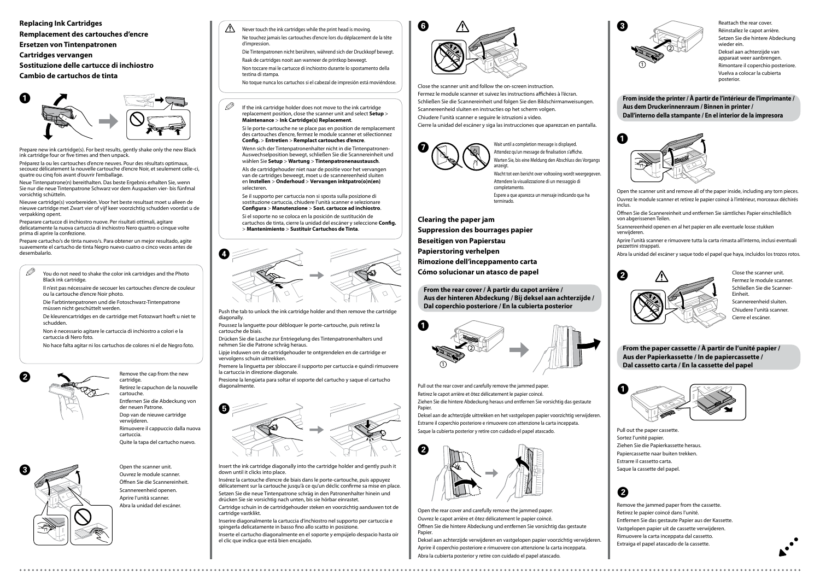**Clearing the paper jam**

**Suppression des bourrages papier**

**Beseitigen von Papierstau**

**Papierstoring verhelpen**

**Rimozione dell'inceppamento carta**

**Cómo solucionar un atasco de papel**

Pull out the rear cover and carefully remove the jammed paper.

Retirez le capot arrière et ôtez délicatement le papier coincé.

Open the rear cover and carefully remove the jammed paper. Ouvrez le capot arrière et ôtez délicatement le papier coincé. Öffnen Sie die hintere Abdeckung und entfernen Sie vorsichtig das gestaute Papier

Ziehen Sie die hintere Abdeckung heraus und entfernen Sie vorsichtig das gestaute Papier.

Deksel aan de achterzijde uittrekken en het vastgelopen papier voorzichtig verwijderen. Estrarre il coperchio posteriore e rimuovere con attenzione la carta inceppata. Saque la cubierta posterior y retire con cuidado el papel atascado.

Deksel aan achterzijde verwijderen en vastgelopen papier voorzichtig verwijderen. Aprire il coperchio posteriore e rimuovere con attenzione la carta inceppata. Abra la cubierta posterior y retire con cuidado el papel atascado.



Reattach the rear cover. Réinstallez le capot arrière. Setzen Sie die hintere Abdeckung wieder ein. Deksel aan achterzijde van apparaat weer aanbrengen. Rimontare il coperchio posteriore. Vuelva a colocar la cubierta posterior.







**From the rear cover / À partir du capot arrière / Aus der hinteren Abdeckung / Bij deksel aan achterzijde / Dal coperchio posteriore / En la cubierta posterior**

**Replacing Ink Cartridges Remplacement des cartouches d'encre Ersetzen von Tintenpatronen Cartridges vervangen Sostituzione delle cartucce di inchiostro**

**Cambio de cartuchos de tinta**

Prepare new ink cartridge(s). For best results, gently shake only the new Black ink cartridge four or five times and then unpack.

Préparez la ou les cartouches d'encre neuves. Pour des résultats optimaux, secouez délicatement la nouvelle cartouche d'encre Noir, et seulement celle-ci, quatre ou cinq fois avant d'ouvrir l'emballage.

 $\mathscr{D}$  You do not need to shake the color ink cartridges and the Photo Black ink cartridge.

Neue Tintenpatrone(n) bereithalten. Das beste Ergebnis erhalten Sie, wenn Sie nur die neue Tintenpatrone Schwarz vor dem Auspacken vier- bis fünfmal vorsichtig schütteln.

Nieuwe cartridge(s) voorbereiden. Voor het beste resultaat moet u alleen de nieuwe cartridge met Zwart vier of vijf keer voorzichtig schudden voordat u de verpakking opent.

 $\mathscr{D}$  If the ink cartridge holder does not move to the ink cartridge replacement position, close the scanner unit and select **Setup** > **Maintenance** > **Ink Cartridge(s) Replacement**.

Preparare cartucce di inchiostro nuove. Per risultati ottimali, agitare delicatamente la nuova cartuccia di inchiostro Nero quattro o cinque volte prima di aprire la confezione.

Prepare cartucho/s de tinta nuevo/s. Para obtener un mejor resultado, agite suavemente el cartucho de tinta Negro nuevo cuatro o cinco veces antes de desembalarlo.

> Ouvrez le module scanner. Öffnen Sie die Scannereinheit. Scannereenheid openen. Aprire l'unità scanner. Abra la unidad del escáner.

Remove the cap from the new

cartridge.

Open the scanner unit. Entfernen Sie die Abdeckung von der neuen Patrone. Dop van de nieuwe cartridge verwijderen. Rimuovere il cappuccio dalla nuova cartuccia. Quite la tapa del cartucho nuevo.

Retirez le capuchon de la nouvelle

cartouche.

Presione la lengüeta para soltar el soporte del cartucho y saque el cartucho diagonalmente

Insert the ink cartridge diagonally into the cartridge holder and gently push it down until it clicks into place.

Insérez la cartouche d'encre de biais dans le porte-cartouche, puis appuyez délicatement sur la cartouche jusqu'à ce qu'un déclic confirme sa mise en place. Setzen Sie die neue Tintenpatrone schräg in den Patronenhalter hinein und drücken Sie sie vorsichtig nach unten, bis sie hörbar einrastet.

Cartridge schuin in de cartridgehouder steken en voorzichtig aanduwen tot de cartridge vastklikt.

Inserire diagonalmente la cartuccia d'inchiostro nel supporto per cartuccia e spingerla delicatamente in basso fino allo scatto in posizione.

Inserte el cartucho diagonalmente en el soporte y empújelo despacio hasta oír el clic que indica que está bien encajado.

Il n'est pas nécessaire de secouer les cartouches d'encre de couleur ou la cartouche d'encre Noir photo.

Die Farbtintenpatronen und die Fotoschwarz-Tintenpatrone müssen nicht geschüttelt werden.

De kleurencartridges en de cartridge met Fotozwart hoeft u niet te schudden.

Non è necessario agitare le cartuccia di inchiostro a colori e la cartuccia di Nero foto.

Wait until a completion message is displayed. Attendez qu'un message de finalisation s'affiche. Warten Sie, bis eine Meldung den Abschluss des Vorgangs anzeigt.

No hace falta agitar ni los cartuchos de colores ni el de Negro foto.

Si le porte-cartouche ne se place pas en position de remplacement des cartouches d'encre, fermez le module scanner et sélectionnez **Config.** > **Entretien** > **Remplact cartouches d'encre**.

Wenn sich der Tintenpatronenhalter nicht in die Tintenpatronen-Auswechselposition bewegt, schließen Sie die Scannereinheit und wählen Sie **Setup** > **Wartung** > **Tintenpatronenaustausch**.

Als de cartridgehouder niet naar de positie voor het vervangen van de cartridges beweegt, moet u de scannereenheid sluiten en **Instellen** > **Onderhoud** > **Vervangen inktpatro(o)n(en)** selecteren.

Se il supporto per cartuccia non si sposta sulla posizione di sostituzione cartuccia, chiudere l'unità scanner e selezionare **Configura** > **Manutenzione** > **Sost. cartucce ad inchiostro**.

Si el soporte no se coloca en la posición de sustitución de cartuchos de tinta, cierre la unidad del escáner y seleccione **Config.** > **Mantenimiento** > **Sustituir Cartuchos de Tinta**.

Push the tab to unlock the ink cartridge holder and then remove the cartridge diagonally.

Poussez la languette pour débloquer le porte-cartouche, puis retirez la cartouche de biais.

Drücken Sie die Lasche zur Entriegelung des Tintenpatronenhalters und nehmen Sie die Patrone schräg heraus.

Lipje induwen om de cartridgehouder te ontgrendelen en de cartridge er vervolgens schuin uittrekken.

Premere la linguetta per sbloccare il supporto per cartuccia e quindi rimuovere la cartuccia in direzione diagonale.













Close the scanner unit and follow the on-screen instruction. Fermez le module scanner et suivez les instructions affichées à l'écran. Schließen Sie die Scannereinheit und folgen Sie den Bildschirmanweisungen. Scannereenheid sluiten en instructies op het scherm volgen. Chiudere l'unità scanner e seguire le istruzioni a video. Cierre la unidad del escáner y siga las instrucciones que aparezcan en pantalla.





**From inside the printer / À partir de l'intérieur de l'imprimante / Aus dem Druckerinnenraum / Binnen in printer / Dall'interno della stampante / En el interior de la impresora**

- Open the scanner unit and remove all of the paper inside, including any torn pieces. Ouvrez le module scanner et retirez le papier coincé à l'intérieur, morceaux déchirés inclus.
- Öffnen Sie die Scannereinheit und entfernen Sie sämtliches Papier einschließlich von abgerissenen Teilen.
- Scannereenheid openen en al het papier en alle eventuele losse stukken verwijderen.
- Aprire l'unità scanner e rimuovere tutta la carta rimasta all'interno, inclusi eventuali pezzettini strappati.
- Abra la unidad del escáner y saque todo el papel que haya, incluidos los trozos rotos.



Fermez le module scanner. Schließen Sie die Scanner-Einheit. Scannereenheid sluiten.

Chiudere l'unità scanner. Cierre el escáner.



Die Tintenpatronen nicht berühren, während sich der Druckkopf bewegt.

Raak de cartridges nooit aan wanneer de printkop beweegt.

Non toccare mai le cartucce di inchiostro durante lo spostamento della testina di stampa.

No toque nunca los cartuchos si el cabezal de impresión está moviéndose.



## B

- Pull out the paper cassette.
- Sortez l'unité papier.
- Ziehen Sie die Papierkassette heraus.
- Papiercassette naar buiten trekken.
- Estrarre il cassetto carta.
- Saque la cassette del papel.

**From the paper cassette / À partir de l'unité papier / Aus der Papierkassette / In de papiercassette / Dal cassetto carta / En la cassette del papel**

- Remove the jammed paper from the cassette.
- Retirez le papier coincé dans l'unité.
- Entfernen Sie das gestaute Papier aus der Kassette.
- Vastgelopen papier uit de cassette verwijderen.
- Rimuovere la carta inceppata dal cassetto.
- Extraiga el papel atascado de la cassette.

Wacht tot een bericht over voltooiing wordt weergegeven. Attendere la visualizzazione di un messaggio di completamento. Espere a que aparezca un mensaje indicando que ha terminado.